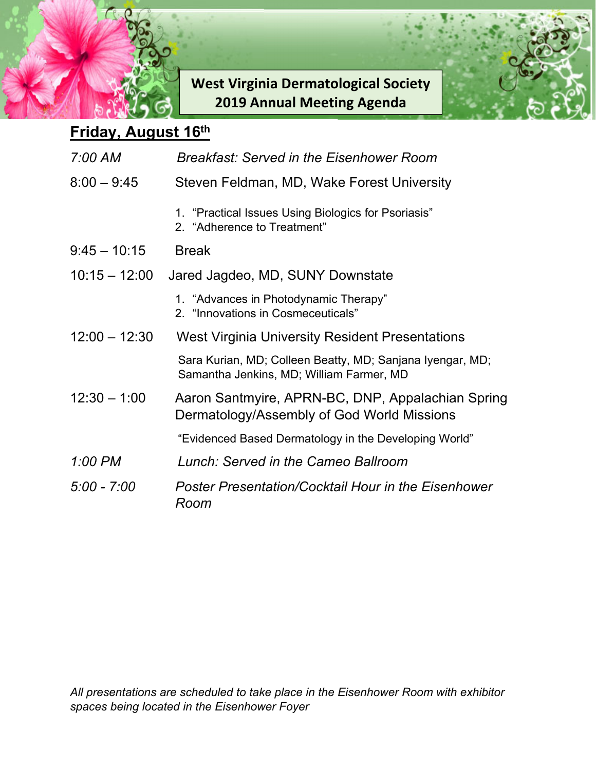

**West Virginia Dermatological Society 2019 Annual Meeting Agenda** 



## **Friday, August 16th**

| 7:00 AM         | Breakfast: Served in the Eisenhower Room                                                              |
|-----------------|-------------------------------------------------------------------------------------------------------|
| $8:00 - 9:45$   | Steven Feldman, MD, Wake Forest University                                                            |
|                 | 1. "Practical Issues Using Biologics for Psoriasis"<br>2. "Adherence to Treatment"                    |
| $9:45 - 10:15$  | <b>Break</b>                                                                                          |
| $10:15 - 12:00$ | Jared Jagdeo, MD, SUNY Downstate                                                                      |
|                 | 1. "Advances in Photodynamic Therapy"<br>2. "Innovations in Cosmeceuticals"                           |
| $12:00 - 12:30$ | West Virginia University Resident Presentations                                                       |
|                 | Sara Kurian, MD; Colleen Beatty, MD; Sanjana Iyengar, MD;<br>Samantha Jenkins, MD; William Farmer, MD |
| $12:30 - 1:00$  | Aaron Santmyire, APRN-BC, DNP, Appalachian Spring<br>Dermatology/Assembly of God World Missions       |
|                 | "Evidenced Based Dermatology in the Developing World"                                                 |
| 1:00 PM         | Lunch: Served in the Cameo Ballroom                                                                   |
| $5:00 - 7:00$   | <b>Poster Presentation/Cocktail Hour in the Eisenhower</b><br>Room                                    |